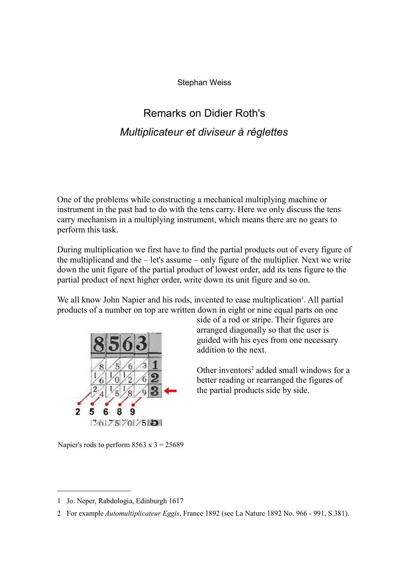Stephan Weiss

## Remarks on Didier Roth's *Multiplicateur et diviseur à réglettes*

One of the problems while constructing a mechanical multiplying machine or instrument in the past had to do with the tens carry. Here we only discuss the tens carry mechanism in a multiplying instrument, which means there are no gears to perform this task.

During multiplication we first have to find the partial products out of every figure of the multiplicand and the – let's assume – only figure of the multiplier. Next we write down the unit figure of the partial product of lowest order, add its tens figure to the partial product of next higher order, write down its unit figure and so on.

We all know John Napier and his rods, invented to ease multiplication<sup>1</sup>. All partial products of a number on top are written down in eight or nine equal parts on one



side of a rod or stripe. Their figures are arranged diagonally so that the user is guided with his eyes from one necessary addition to the next.

Other inventors<sup>2</sup> added small windows for a better reading or rearranged the figures of the partial products side by side.

Napier's rods to perform  $8563 \times 3 = 25689$ 

<sup>1</sup> Jo. Neper, Rabdologia, Edinburgh 1617

<sup>2</sup> For example *Automultiplicateur Eggis*, France 1892 (see La Nature 1892 No. 966 - 991, S.381).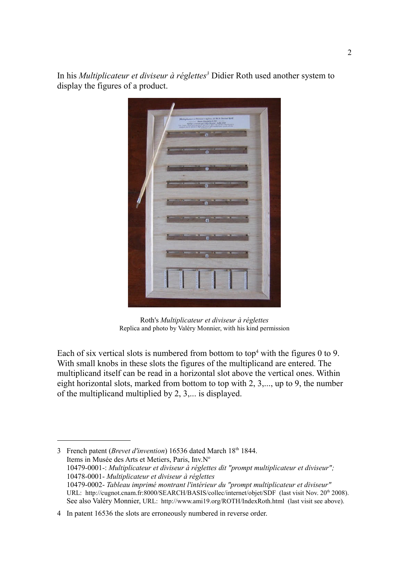In his *Multiplicateur et diviseur à réglettes<sup>3</sup>* Didier Roth used another system to display the figures of a product.



Roth's *Multiplicateur et diviseur à réglettes* Replica and photo by Valéry Monnier, with his kind permission

Each of six vertical slots is numbered from bottom to top<sup>4</sup> with the figures 0 to 9. With small knobs in these slots the figures of the multiplicand are entered. The multiplicand itself can be read in a horizontal slot above the vertical ones. Within eight horizontal slots, marked from bottom to top with 2, 3,..., up to 9, the number of the multiplicand multiplied by 2, 3,... is displayed.

<sup>3</sup> French patent (*Brevet d'invention*) 16536 dated March 18<sup>th</sup> 1844. Items in Musée des Arts et Metiers, Paris, Inv.N° 10479-0001-: *Multiplicateur et diviseur à réglettes dit "prompt multiplicateur et diviseur";* 10478-0001- *Multiplicateur et diviseur à réglettes* 10479-0002- *Tableau imprimé montrant l'intérieur du "prompt multiplicateur et diviseur"* URL: http://cugnot.cnam.fr:8000/SEARCH/BASIS/collec/internet/objet/SDF (last visit Nov. 20<sup>th</sup> 2008). See also Valéry Monnier, URL: http://www.ami19.org/ROTH/IndexRoth.html (last visit see above).

<sup>4</sup> In patent 16536 the slots are erroneously numbered in reverse order.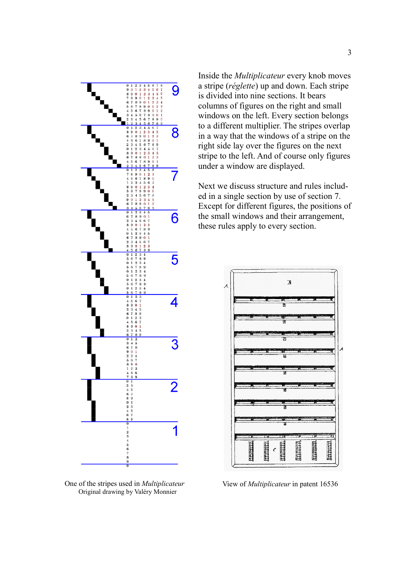

One of the stripes used in *Multiplicateur* Original drawing by Valéry Monnier

Inside the *Multiplicateur* every knob moves a stripe (*réglette*) up and down. Each stripe is divided into nine sections. It bears columns of figures on the right and small windows on the left. Every section belongs to a different multiplier. The stripes overlap in a way that the windows of a stripe on the right side lay over the figures on the next stripe to the left. And of course only figures under a window are displayed.

Next we discuss structure and rules included in a single section by use of section 7. Except for different figures, the positions of the small windows and their arrangement, these rules apply to every section.



View of *Multiplicateur* in patent 16536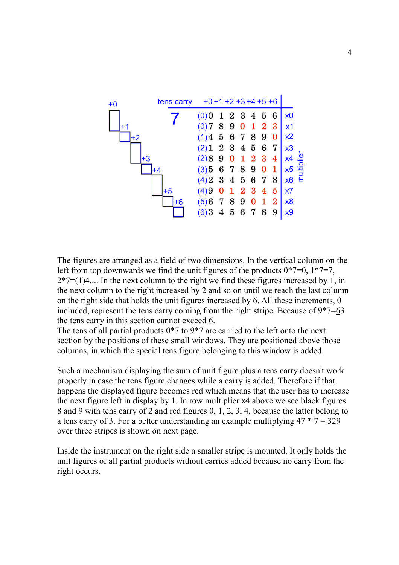

The figures are arranged as a field of two dimensions. In the vertical column on the left from top downwards we find the unit figures of the products  $0*7=0$ ,  $1*7=7$ ,  $2*7=(1)4...$  In the next column to the right we find these figures increased by 1, in the next column to the right increased by 2 and so on until we reach the last column on the right side that holds the unit figures increased by 6. All these increments, 0 included, represent the tens carry coming from the right stripe. Because of 9\*7=63 the tens carry in this section cannot exceed 6.

The tens of all partial products  $0*7$  to  $9*7$  are carried to the left onto the next section by the positions of these small windows. They are positioned above those columns, in which the special tens figure belonging to this window is added.

Such a mechanism displaying the sum of unit figure plus a tens carry doesn't work properly in case the tens figure changes while a carry is added. Therefore if that happens the displayed figure becomes red which means that the user has to increase the next figure left in display by 1. In row multiplier x4 above we see black figures 8 and 9 with tens carry of 2 and red figures 0, 1, 2, 3, 4, because the latter belong to a tens carry of 3. For a better understanding an example multiplying  $47 * 7 = 329$ over three stripes is shown on next page.

Inside the instrument on the right side a smaller stripe is mounted. It only holds the unit figures of all partial products without carries added because no carry from the right occurs.